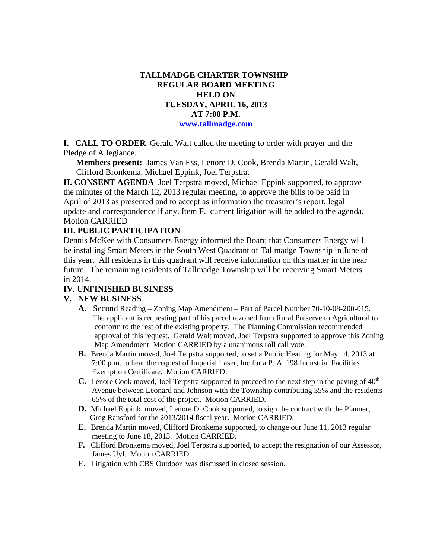### **TALLMADGE CHARTER TOWNSHIP REGULAR BOARD MEETING HELD ON TUESDAY, APRIL 16, 2013 AT 7:00 P.M. www.tallmadge.com**

**I. CALL TO ORDER** Gerald Walt called the meeting to order with prayer and the Pledge of Allegiance.

**Members present:** James Van Ess, Lenore D. Cook, Brenda Martin, Gerald Walt, Clifford Bronkema, Michael Eppink, Joel Terpstra.

**II. CONSENT AGENDA** Joel Terpstra moved, Michael Eppink supported, to approve the minutes of the March 12, 2013 regular meeting, to approve the bills to be paid in April of 2013 as presented and to accept as information the treasurer's report, legal update and correspondence if any. Item F. current litigation will be added to the agenda. Motion CARRIED

## **III. PUBLIC PARTICIPATION**

Dennis McKee with Consumers Energy informed the Board that Consumers Energy will be installing Smart Meters in the South West Quadrant of Tallmadge Township in June of this year. All residents in this quadrant will receive information on this matter in the near future. The remaining residents of Tallmadge Township will be receiving Smart Meters in 2014.

### **IV. UNFINISHED BUSINESS**

### **V. NEW BUSINESS**

- **A.** Second Reading Zoning Map Amendment Part of Parcel Number 70-10-08-200-015. The applicant is requesting part of his parcel rezoned from Rural Preserve to Agricultural to conform to the rest of the existing property. The Planning Commission recommended approval of this request. Gerald Walt moved, Joel Terpstra supported to approve this Zoning Map Amendment Motion CARRIED by a unanimous roll call vote.
- **B.** Brenda Martin moved, Joel Terpstra supported, to set a Public Hearing for May 14, 2013 at 7:00 p.m. to hear the request of Imperial Laser, Inc for a P. A. 198 Industrial Facilities Exemption Certificate. Motion CARRIED.
- **C.** Lenore Cook moved, Joel Terpstra supported to proceed to the next step in the paving of 40<sup>th</sup> Avenue between Leonard and Johnson with the Township contributing 35% and the residents 65% of the total cost of the project. Motion CARRIED.
- **D.** Michael Eppink moved, Lenore D. Cook supported, to sign the contract with the Planner, Greg Ransford for the 2013/2014 fiscal year. Motion CARRIED.
- **E.** Brenda Martin moved, Clifford Bronkema supported, to change our June 11, 2013 regular meeting to June 18, 2013. Motion CARRIED.
- **F.** Clifford Bronkema moved, Joel Terpstra supported, to accept the resignation of our Assessor, James Uyl. Motion CARRIED.
- **F.** Litigation with CBS Outdoor was discussed in closed session.